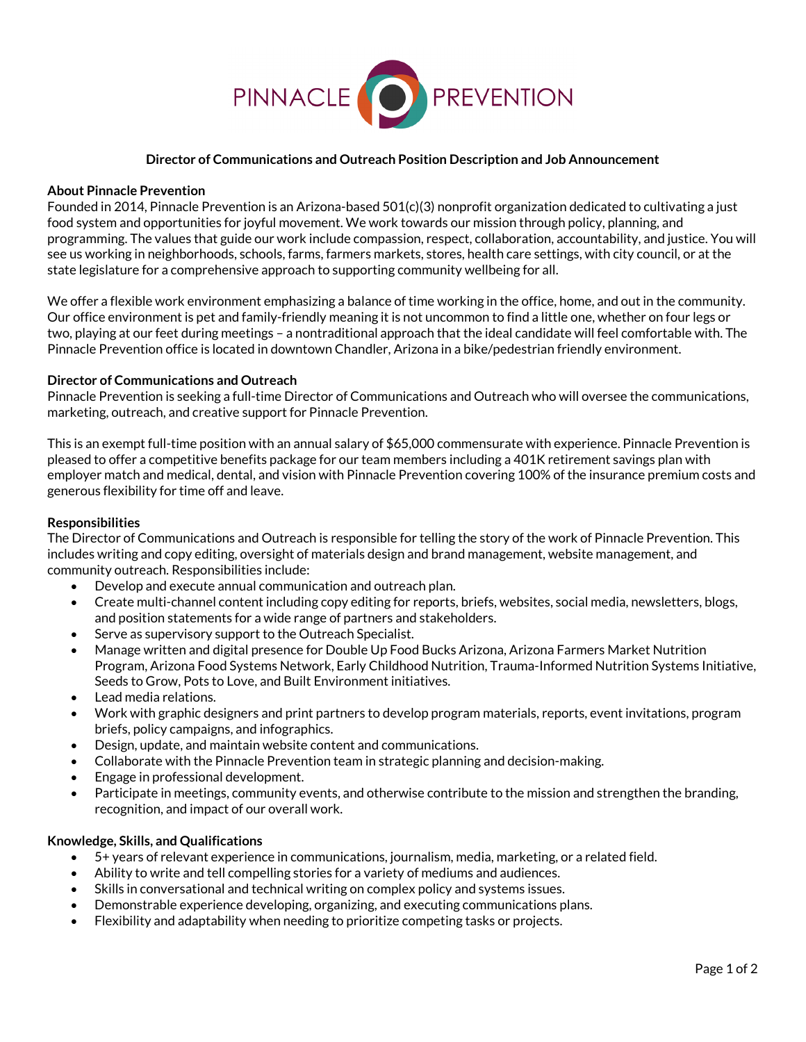

## **Director of Communications and Outreach Position Description and Job Announcement**

### **About Pinnacle Prevention**

Founded in 2014, Pinnacle Prevention is an Arizona-based 501(c)(3) nonprofit organization dedicated to cultivating a just food system and opportunities for joyful movement. We work towards our mission through policy, planning, and programming. The values that guide our work include compassion, respect, collaboration, accountability, and justice. You will see us working in neighborhoods, schools, farms, farmers markets, stores, health care settings, with city council, or at the state legislature for a comprehensive approach to supporting community wellbeing for all.

We offer a flexible work environment emphasizing a balance of time working in the office, home, and out in the community. Our office environment is pet and family-friendly meaning it is not uncommon to find a little one, whether on four legs or two, playing at our feet during meetings – a nontraditional approach that the ideal candidate will feel comfortable with. The Pinnacle Prevention office is located in downtown Chandler, Arizona in a bike/pedestrian friendly environment.

### **Director of Communications and Outreach**

Pinnacle Prevention is seeking a full-time Director of Communications and Outreach who will oversee the communications, marketing, outreach, and creative support for Pinnacle Prevention.

This is an exempt full-time position with an annual salary of \$65,000 commensurate with experience. Pinnacle Prevention is pleased to offer a competitive benefits package for our team members including a 401K retirement savings plan with employer match and medical, dental, and vision with Pinnacle Prevention covering 100% of the insurance premium costs and generous flexibility for time off and leave.

### **Responsibilities**

The Director of Communications and Outreach is responsible for telling the story of the work of Pinnacle Prevention. This includes writing and copy editing, oversight of materials design and brand management, website management, and community outreach. Responsibilities include:

- Develop and execute annual communication and outreach plan.
- Create multi-channel content including copy editing for reports, briefs, websites, social media, newsletters, blogs, and position statements for a wide range of partners and stakeholders.
- Serve as supervisory support to the Outreach Specialist.
- Manage written and digital presence for Double Up Food Bucks Arizona, Arizona Farmers Market Nutrition Program, Arizona Food Systems Network, Early Childhood Nutrition, Trauma-Informed Nutrition Systems Initiative, Seeds to Grow, Pots to Love, and Built Environment initiatives.
- Lead media relations.
- Work with graphic designers and print partners to develop program materials, reports, event invitations, program briefs, policy campaigns, and infographics.
- Design, update, and maintain website content and communications.
- Collaborate with the Pinnacle Prevention team in strategic planning and decision-making.
- Engage in professional development.
- Participate in meetings, community events, and otherwise contribute to the mission and strengthen the branding, recognition, and impact of our overall work.

### **Knowledge, Skills, and Qualifications**

- 5+ years of relevant experience in communications, journalism, media, marketing, or a related field.
- Ability to write and tell compelling stories for a variety of mediums and audiences.
- Skills in conversational and technical writing on complex policy and systems issues.
- Demonstrable experience developing, organizing, and executing communications plans.
- Flexibility and adaptability when needing to prioritize competing tasks or projects.